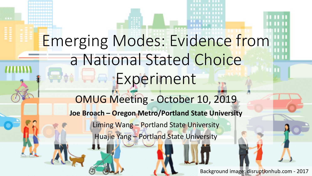# Emerging Modes: Evidence from a National Stated Choice Experiment OMUG Meeting - October 10, 2019 **Joe Broach – Oregon Metro/Portland State University**  Liming Wang – Portland State University Huajie Yang – Portland State University

Background image: disruptionhub.com - 2017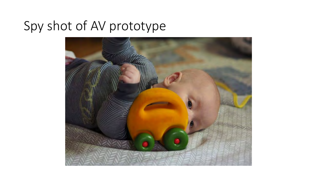## Spy shot of AV prototype

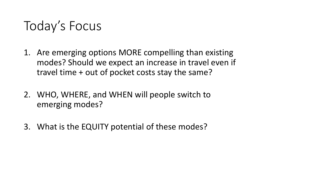#### Today's Focus

- 1. Are emerging options MORE compelling than existing modes? Should we expect an increase in travel even if travel time + out of pocket costs stay the same?
- 2. WHO, WHERE, and WHEN will people switch to emerging modes?
- 3. What is the EQUITY potential of these modes?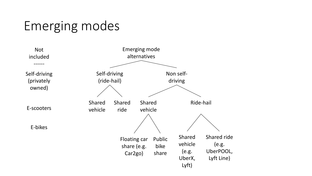### Emerging modes

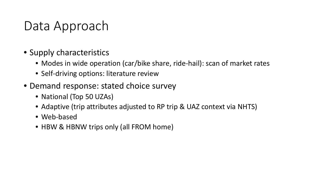### Data Approach

- Supply characteristics
	- Modes in wide operation (car/bike share, ride-hail): scan of market rates
	- Self-driving options: literature review
- Demand response: stated choice survey
	- National (Top 50 UZAs)
	- Adaptive (trip attributes adjusted to RP trip & UAZ context via NHTS)
	- Web-based
	- HBW & HBNW trips only (all FROM home)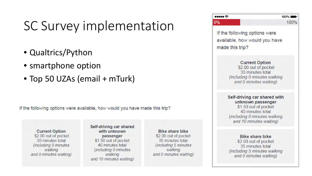### SC Survey implementation

- Qualtrics/Python
- smartphone option
- Top 50 UZAs (email + mTurk)

If the following options were available, how would you have made this trip?

**Current Option** \$2.00 out of pocket 30 minutes total (including 0 minutes) walking and 0 minutes waiting) Self-driving car shared with unknown passenger \$1.50 out of pocket 40 minutes total (including 0 minutes) walking and 10 minutes waiting)

**Bike share bike** \$2.00 out of pocket 35 minutes total (including 5 minutes) walking and 0 minutes waiting) 0% 100% If the following options were available, how would you have made this trip? **Current Option** \$2.00 out of pocket 30 minutes total

 $...$ 

100%

(including 0 minutes walking and 0 minutes waiting)

Self-driving car shared with unknown passenger \$1.50 out of pocket 40 minutes total (including 0 minutes walking and 10 minutes waiting)

**Bike share bike** \$2.00 out of pocket 35 minutes total (including 5 minutes walking and 0 minutes waiting)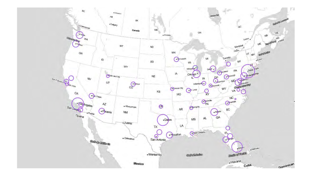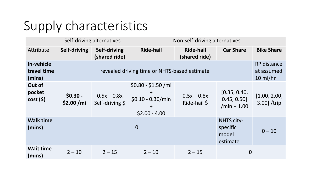### Supply characteristics

|                                            | Self-driving alternatives                    |                                  | Non-self-driving alternatives                                                            |                                   |                                                    |                                                        |
|--------------------------------------------|----------------------------------------------|----------------------------------|------------------------------------------------------------------------------------------|-----------------------------------|----------------------------------------------------|--------------------------------------------------------|
| Attribute                                  | Self-driving                                 | Self-driving<br>(shared ride)    | <b>Ride-hail</b>                                                                         | <b>Ride-hail</b><br>(shared ride) | <b>Car Share</b>                                   | <b>Bike Share</b>                                      |
| <b>In-vehicle</b><br>travel time<br>(mins) | revealed driving time or NHTS-based estimate |                                  |                                                                                          |                                   |                                                    | <b>RP</b> distance<br>at assumed<br>$10 \text{ mi/hr}$ |
| Out of<br>pocket<br>cost(5)                | $$0.30 -$<br>\$2.00 / mi                     | $0.5x - 0.8x$<br>Self-driving \$ | $$0.80 - $1.50$ /mi<br>$\ddagger$<br>$$0.10 - 0.30/min$<br>$\mathbf +$<br>$$2.00 - 4.00$ | $0.5x - 0.8x$<br>Ride-hail \$     | [0.35, 0.40,<br>0.45, 0.50<br>$/min + 1.00$        | [1.00, 2.00,<br>3.00] /trip                            |
| <b>Walk time</b><br>(mins)                 |                                              |                                  | $\overline{0}$                                                                           |                                   | <b>NHTS city-</b><br>specific<br>model<br>estimate | $0 - 10$                                               |
| <b>Wait time</b><br>(mins)                 | $2 - 10$                                     | $2 - 15$                         | $2 - 10$                                                                                 | $2 - 15$                          | $\overline{0}$                                     |                                                        |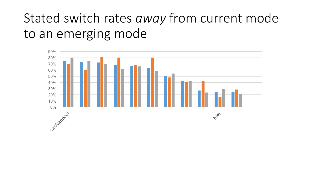### Stated switch rates *away* from current mode to an emerging mode

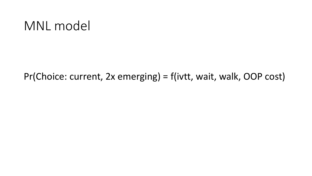#### MNL model

#### Pr(Choice: current, 2x emerging) = f(ivtt, wait, walk, OOP cost)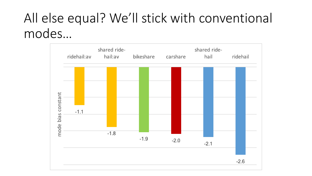## All else equal? We'll stick with conventional modes…

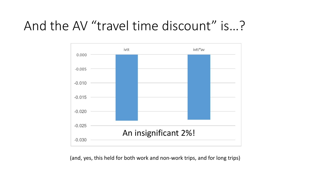### And the AV "travel time discount" is…?



(and, yes, this held for both work and non-work trips, and for long trips)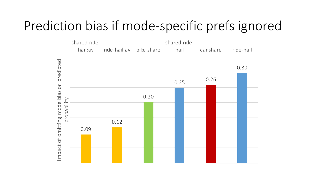### Prediction bias if mode-specific prefs ignored

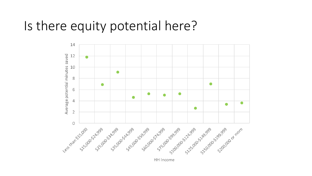#### Is there equity potential here?



HH Income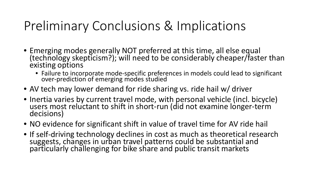### Preliminary Conclusions & Implications

- Emerging modes generally NOT preferred at this time, all else equal (technology skepticism?); will need to be considerably cheaper/faster than existing options
	- Failure to incorporate mode-specific preferences in models could lead to significant over-prediction of emerging modes studied
- AV tech may lower demand for ride sharing vs. ride hail w/ driver
- Inertia varies by current travel mode, with personal vehicle (incl. bicycle) users most reluctant to shift in short-run (did not examine longer-term decisions)
- NO evidence for significant shift in value of travel time for AV ride hail
- If self-driving technology declines in cost as much as theoretical research suggests, changes in urban travel patterns could be substantial and particularly challenging for bike share and public transit markets